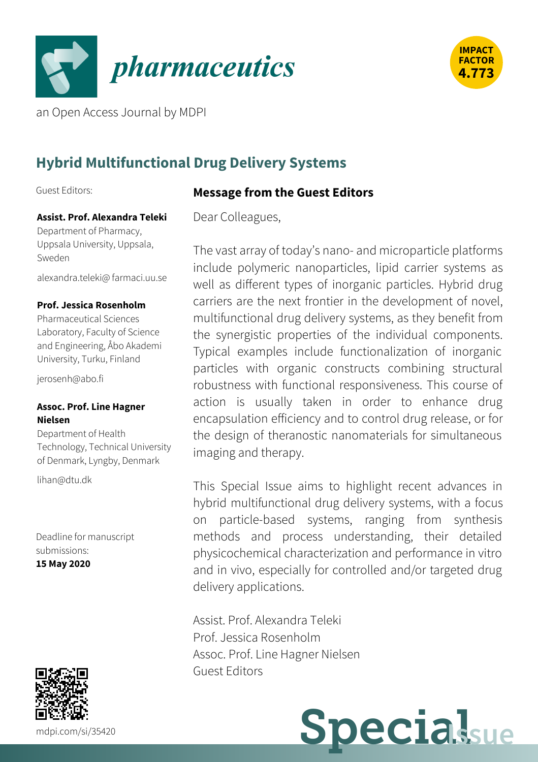



an Open Access Journal by MDPI

# **Hybrid Multifunctional Drug Delivery Systems**

Guest Editors:

### **Assist. Prof. Alexandra Teleki**

Department of Pharmacy, Uppsala University, Uppsala, Sweden

[alexandra.teleki@](mailto:alexandra.teleki@farmaci.uu.se) farmaci.uu.se

#### **Prof. Jessica Rosenholm**

Pharmaceutical Sciences Laboratory, Faculty of Science and Engineering, Åbo Akademi University, Turku, Finland

[jerosenh@abo.fi](mailto:%256a%2565%2572%256f%2573%2565%256e%2568@%2561%2562%256f.%2566%2569)

#### **Assoc. Prof. Line Hagner Nielsen**

Department of Health Technology, Technical University of Denmark, Lyngby, Denmark

[lihan@dtu.dk](mailto:%256c%2569%2568%2561%256e@%2564%2574%2575.%2564%256b)

Deadline for manuscript submissions: **15 May 2020**



### **Message from the Guest Editors**

Dear Colleagues,

The vast array of today's nano- and microparticle platforms include polymeric nanoparticles, lipid carrier systems as well as different types of inorganic particles. Hybrid drug carriers are the next frontier in the development of novel, multifunctional drug delivery systems, as they benefit from the synergistic properties of the individual components. Typical examples include functionalization of inorganic particles with organic constructs combining structural robustness with functional responsiveness. This course of action is usually taken in order to enhance drug encapsulation efficiency and to control drug release, or for the design of theranostic nanomaterials for simultaneous imaging and therapy.

This Special Issue aims to highlight recent advances in hybrid multifunctional drug delivery systems, with a focus on particle-based systems, ranging from synthesis methods and process understanding, their detailed physicochemical characterization and performance in vitro and in vivo, especially for controlled and/or targeted drug delivery applications.

Assist. Prof. Alexandra Teleki Prof. Jessica Rosenholm Assoc. Prof. Line Hagner Nielsen Guest Editors